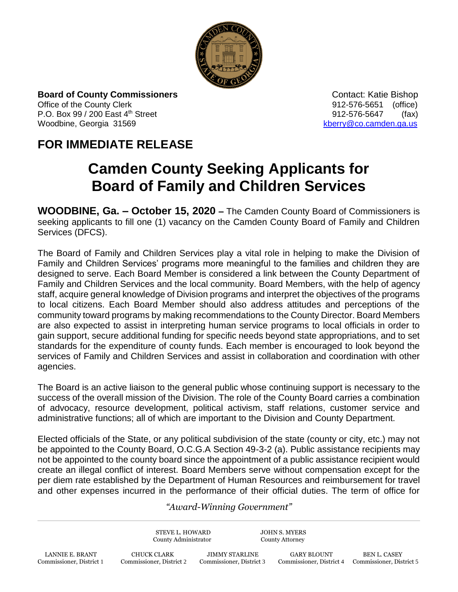

**Board of County Commissioners Contact: Katie Bishop** Contact: Katie Bishop Office of the County Clerk 61 and 2012-576-5651 (office) P.O. Box 99 / 200 East 4<sup>th</sup> Street 912-576-5647 (fax) Woodbine, Georgia 31569 [kberry@co.camden.ga.us](mailto:kberry@co.camden.ga.us)

## **FOR IMMEDIATE RELEASE**

## **Camden County Seeking Applicants for Board of Family and Children Services**

**WOODBINE, Ga. – October 15, 2020 –** The Camden County Board of Commissioners is seeking applicants to fill one (1) vacancy on the Camden County Board of Family and Children Services (DFCS).

The Board of Family and Children Services play a vital role in helping to make the Division of Family and Children Services' programs more meaningful to the families and children they are designed to serve. Each Board Member is considered a link between the County Department of Family and Children Services and the local community. Board Members, with the help of agency staff, acquire general knowledge of Division programs and interpret the objectives of the programs to local citizens. Each Board Member should also address attitudes and perceptions of the community toward programs by making recommendations to the County Director. Board Members are also expected to assist in interpreting human service programs to local officials in order to gain support, secure additional funding for specific needs beyond state appropriations, and to set standards for the expenditure of county funds. Each member is encouraged to look beyond the services of Family and Children Services and assist in collaboration and coordination with other agencies.

The Board is an active liaison to the general public whose continuing support is necessary to the success of the overall mission of the Division. The role of the County Board carries a combination of advocacy, resource development, political activism, staff relations, customer service and administrative functions; all of which are important to the Division and County Department.

Elected officials of the State, or any political subdivision of the state (county or city, etc.) may not be appointed to the County Board, O.C.G.A Section 49-3-2 (a). Public assistance recipients may not be appointed to the county board since the appointment of a public assistance recipient would create an illegal conflict of interest. Board Members serve without compensation except for the per diem rate established by the Department of Human Resources and reimbursement for travel and other expenses incurred in the performance of their official duties. The term of office for

## *"Award-Winning Government"*

STEVE L. HOWARD JOHN S. MYERS County Administrator County Attorney